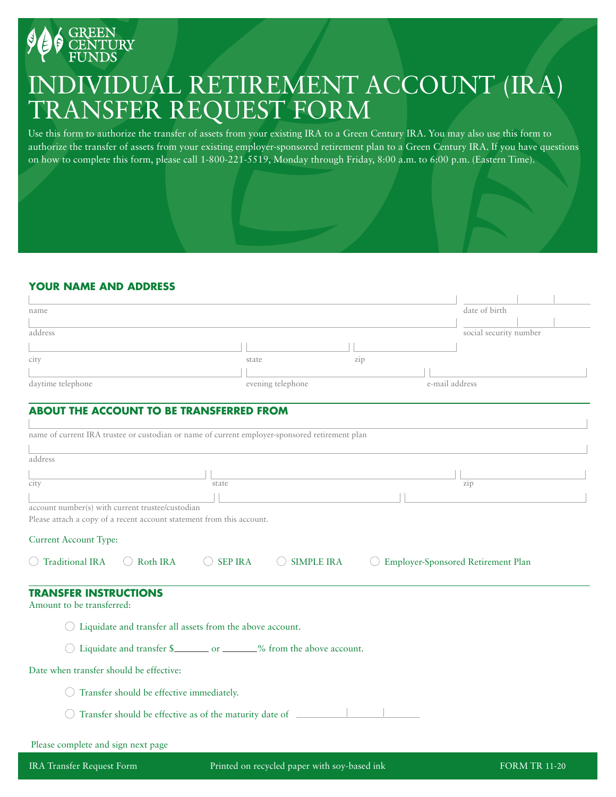

# INDIVIDUAL RETIREMENT ACCOUNT (IRA) TRANSFER REQUEST FORM

Use this form to authorize the transfer of assets from your existing IRA to a Green Century IRA. You may also use this form to authorize the transfer of assets from your existing employer-sponsored retirement plan to a Green Century IRA. If you have questions on how to complete this form, please call 1-800-221-5519, Monday through Friday, 8:00 a.m. to 6:00 p.m. (Eastern Time).

# **YOUR NAME AND ADDRESS**

| name              |                   |     |                | date of birth          |  |
|-------------------|-------------------|-----|----------------|------------------------|--|
|                   |                   |     |                |                        |  |
| address           |                   |     |                | social security number |  |
|                   |                   |     |                |                        |  |
| city              | state             | zip |                |                        |  |
|                   |                   |     |                |                        |  |
| daytime telephone | evening telephone |     | e-mail address |                        |  |

# **ABOUT THE ACCOUNT TO BE TRANSFERRED FROM**

|                                                                       |                                                           |                    | name of current IRA trustee or custodian or name of current employer-sponsored retirement plan |                                           |
|-----------------------------------------------------------------------|-----------------------------------------------------------|--------------------|------------------------------------------------------------------------------------------------|-------------------------------------------|
| address                                                               |                                                           |                    |                                                                                                |                                           |
|                                                                       |                                                           |                    |                                                                                                |                                           |
| city                                                                  |                                                           | state              |                                                                                                | zip                                       |
|                                                                       |                                                           |                    |                                                                                                |                                           |
| account number(s) with current trustee/custodian                      |                                                           |                    |                                                                                                |                                           |
| Please attach a copy of a recent account statement from this account. |                                                           |                    |                                                                                                |                                           |
| <b>Current Account Type:</b>                                          |                                                           |                    |                                                                                                |                                           |
|                                                                       |                                                           |                    |                                                                                                |                                           |
|                                                                       |                                                           |                    | $($ )                                                                                          |                                           |
| $\bigcirc$ Traditional IRA $\bigcirc$ Roth IRA                        |                                                           | $\bigcirc$ SEP IRA | <b>SIMPLE IRA</b>                                                                              | <b>Employer-Sponsored Retirement Plan</b> |
| <b>TRANSFER INSTRUCTIONS</b><br>Amount to be transferred:             |                                                           |                    |                                                                                                |                                           |
|                                                                       | Liquidate and transfer all assets from the above account. |                    |                                                                                                |                                           |
|                                                                       |                                                           |                    | Liquidate and transfer \$___________________% from the above account.                          |                                           |
| Date when transfer should be effective:                               |                                                           |                    |                                                                                                |                                           |
|                                                                       | Transfer should be effective immediately.                 |                    |                                                                                                |                                           |